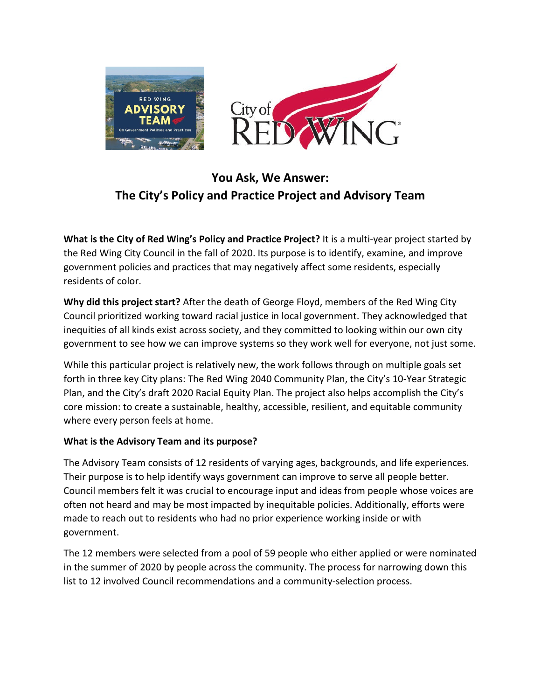



# **You Ask, We Answer: The City's Policy and Practice Project and Advisory Team**

**What is the City of Red Wing's Policy and Practice Project?** It is a multi-year project started by the Red Wing City Council in the fall of 2020. Its purpose is to identify, examine, and improve government policies and practices that may negatively affect some residents, especially residents of color.

**Why did this project start?** After the death of George Floyd, members of the Red Wing City Council prioritized working toward racial justice in local government. They acknowledged that inequities of all kinds exist across society, and they committed to looking within our own city government to see how we can improve systems so they work well for everyone, not just some.

While this particular project is relatively new, the work follows through on multiple goals set forth in three key City plans: The Red Wing 2040 Community Plan, the City's 10-Year Strategic Plan, and the City's draft 2020 Racial Equity Plan. The project also helps accomplish the City's core mission: to create a sustainable, healthy, accessible, resilient, and equitable community where every person feels at home.

#### **What is the Advisory Team and its purpose?**

The Advisory Team consists of 12 residents of varying ages, backgrounds, and life experiences. Their purpose is to help identify ways government can improve to serve all people better. Council members felt it was crucial to encourage input and ideas from people whose voices are often not heard and may be most impacted by inequitable policies. Additionally, efforts were made to reach out to residents who had no prior experience working inside or with government.

The 12 members were selected from a pool of 59 people who either applied or were nominated in the summer of 2020 by people across the community. The process for narrowing down this list to 12 involved Council recommendations and a community-selection process.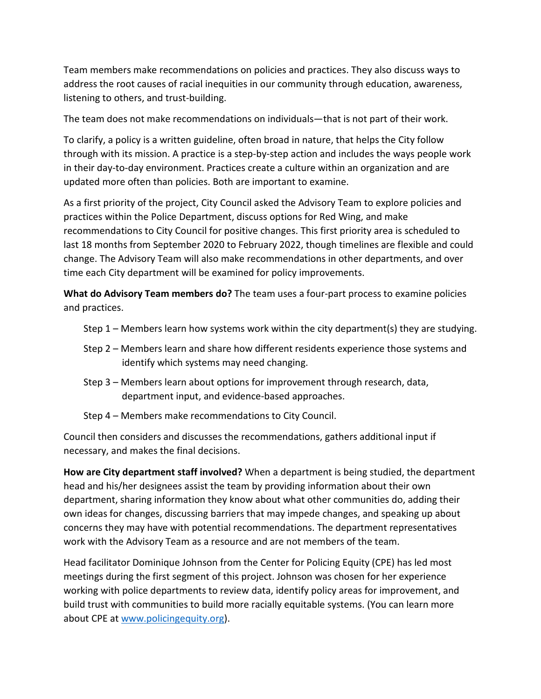Team members make recommendations on policies and practices. They also discuss ways to address the root causes of racial inequities in our community through education, awareness, listening to others, and trust-building.

The team does not make recommendations on individuals—that is not part of their work.

To clarify, a policy is a written guideline, often broad in nature, that helps the City follow through with its mission. A practice is a step-by-step action and includes the ways people work in their day-to-day environment. Practices create a culture within an organization and are updated more often than policies. Both are important to examine.

As a first priority of the project, City Council asked the Advisory Team to explore policies and practices within the Police Department, discuss options for Red Wing, and make recommendations to City Council for positive changes. This first priority area is scheduled to last 18 months from September 2020 to February 2022, though timelines are flexible and could change. The Advisory Team will also make recommendations in other departments, and over time each City department will be examined for policy improvements.

**What do Advisory Team members do?** The team uses a four-part process to examine policies and practices.

- Step 1 Members learn how systems work within the city department(s) they are studying.
- Step 2 Members learn and share how different residents experience those systems and identify which systems may need changing.
- Step 3 Members learn about options for improvement through research, data, department input, and evidence-based approaches.
- Step 4 Members make recommendations to City Council.

Council then considers and discusses the recommendations, gathers additional input if necessary, and makes the final decisions.

**How are City department staff involved?** When a department is being studied, the department head and his/her designees assist the team by providing information about their own department, sharing information they know about what other communities do, adding their own ideas for changes, discussing barriers that may impede changes, and speaking up about concerns they may have with potential recommendations. The department representatives work with the Advisory Team as a resource and are not members of the team.

Head facilitator Dominique Johnson from the Center for Policing Equity (CPE) has led most meetings during the first segment of this project. Johnson was chosen for her experience working with police departments to review data, identify policy areas for improvement, and build trust with communities to build more racially equitable systems. (You can learn more about CPE at [www.policingequity.org\)](http://www.policingequity.org/).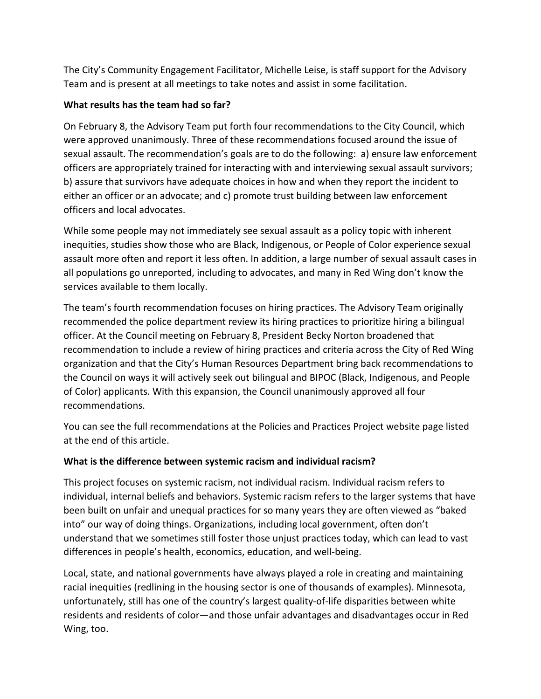The City's Community Engagement Facilitator, Michelle Leise, is staff support for the Advisory Team and is present at all meetings to take notes and assist in some facilitation.

### **What results has the team had so far?**

On February 8, the Advisory Team put forth four recommendations to the City Council, which were approved unanimously. Three of these recommendations focused around the issue of sexual assault. The recommendation's goals are to do the following: a) ensure law enforcement officers are appropriately trained for interacting with and interviewing sexual assault survivors; b) assure that survivors have adequate choices in how and when they report the incident to either an officer or an advocate; and c) promote trust building between law enforcement officers and local advocates.

While some people may not immediately see sexual assault as a policy topic with inherent inequities, studies show those who are Black, Indigenous, or People of Color experience sexual assault more often and report it less often. In addition, a large number of sexual assault cases in all populations go unreported, including to advocates, and many in Red Wing don't know the services available to them locally.

The team's fourth recommendation focuses on hiring practices. The Advisory Team originally recommended the police department review its hiring practices to prioritize hiring a bilingual officer. At the Council meeting on February 8, President Becky Norton broadened that recommendation to include a review of hiring practices and criteria across the City of Red Wing organization and that the City's Human Resources Department bring back recommendations to the Council on ways it will actively seek out bilingual and BIPOC (Black, Indigenous, and People of Color) applicants. With this expansion, the Council unanimously approved all four recommendations.

You can see the full recommendations at the Policies and Practices Project website page listed at the end of this article.

## **What is the difference between systemic racism and individual racism?**

This project focuses on systemic racism, not individual racism. Individual racism refers to individual, internal beliefs and behaviors. Systemic racism refers to the larger systems that have been built on unfair and unequal practices for so many years they are often viewed as "baked into" our way of doing things. Organizations, including local government, often don't understand that we sometimes still foster those unjust practices today, which can lead to vast differences in people's health, economics, education, and well-being.

Local, state, and national governments have always played a role in creating and maintaining racial inequities (redlining in the housing sector is one of thousands of examples). Minnesota, unfortunately, still has one of the country's largest quality-of-life disparities between white residents and residents of color—and those unfair advantages and disadvantages occur in Red Wing, too.